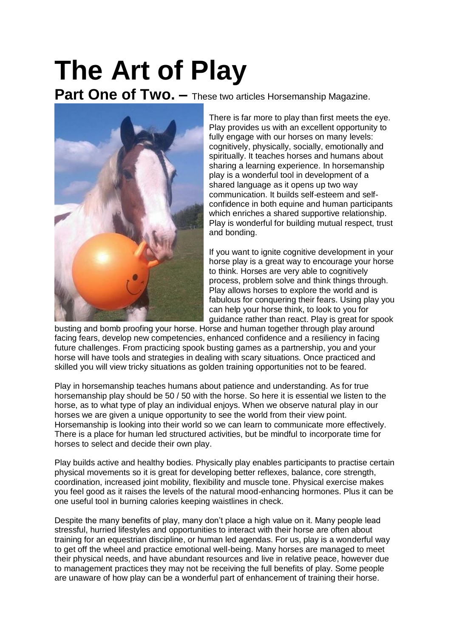# **The Art of Play**

Part One of Two. - These two articles Horsemanship Magazine.



There is far more to play than first meets the eye. Play provides us with an excellent opportunity to fully engage with our horses on many levels: cognitively, physically, socially, emotionally and spiritually. It teaches horses and humans about sharing a learning experience. In horsemanship play is a wonderful tool in development of a shared language as it opens up two way communication. It builds self-esteem and selfconfidence in both equine and human participants which enriches a shared supportive relationship. Play is wonderful for building mutual respect, trust and bonding.

If you want to ignite cognitive development in your horse play is a great way to encourage your horse to think. Horses are very able to cognitively process, problem solve and think things through. Play allows horses to explore the world and is fabulous for conquering their fears. Using play you can help your horse think, to look to you for guidance rather than react. Play is great for spook

busting and bomb proofing your horse. Horse and human together through play around facing fears, develop new competencies, enhanced confidence and a resiliency in facing future challenges. From practicing spook busting games as a partnership, you and your horse will have tools and strategies in dealing with scary situations. Once practiced and skilled you will view tricky situations as golden training opportunities not to be feared.

Play in horsemanship teaches humans about patience and understanding. As for true horsemanship play should be 50 / 50 with the horse. So here it is essential we listen to the horse, as to what type of play an individual enjoys. When we observe natural play in our horses we are given a unique opportunity to see the world from their view point. Horsemanship is looking into their world so we can learn to communicate more effectively. There is a place for human led structured activities, but be mindful to incorporate time for horses to select and decide their own play.

Play builds active and healthy bodies. Physically play enables participants to practise certain physical movements so it is great for developing better reflexes, balance, core strength, coordination, increased joint mobility, flexibility and muscle tone. Physical exercise makes you feel good as it raises the levels of the natural mood-enhancing hormones. Plus it can be one useful tool in burning calories keeping waistlines in check.

Despite the many benefits of play, many don't place a high value on it. Many people lead stressful, hurried lifestyles and opportunities to interact with their horse are often about training for an equestrian discipline, or human led agendas. For us, play is a wonderful way to get off the wheel and practice emotional well-being. Many horses are managed to meet their physical needs, and have abundant resources and live in relative peace, however due to management practices they may not be receiving the full benefits of play. Some people are unaware of how play can be a wonderful part of enhancement of training their horse.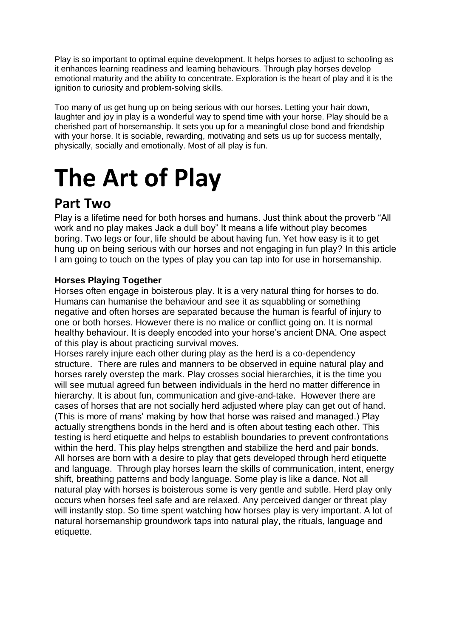Play is so important to optimal equine development. It helps horses to adjust to schooling as it enhances learning readiness and learning behaviours. Through play horses develop emotional maturity and the ability to concentrate. Exploration is the heart of play and it is the ignition to curiosity and problem-solving skills.

Too many of us get hung up on being serious with our horses. Letting your hair down, laughter and joy in play is a wonderful way to spend time with your horse. Play should be a cherished part of horsemanship. It sets you up for a meaningful close bond and friendship with your horse. It is sociable, rewarding, motivating and sets us up for success mentally, physically, socially and emotionally. Most of all play is fun.

## **The Art of Play**

### **Part Two**

Play is a lifetime need for both horses and humans. Just think about the proverb "All work and no play makes Jack a dull boy" It means a life without play becomes boring. Two legs or four, life should be about having fun. Yet how easy is it to get hung up on being serious with our horses and not engaging in fun play? In this article I am going to touch on the types of play you can tap into for use in horsemanship.

#### **Horses Playing Together**

Horses often engage in boisterous play. It is a very natural thing for horses to do. Humans can humanise the behaviour and see it as squabbling or something negative and often horses are separated because the human is fearful of injury to one or both horses. However there is no malice or conflict going on. It is normal healthy behaviour. It is deeply encoded into your horse's ancient DNA. One aspect of this play is about practicing survival moves.

Horses rarely injure each other during play as the herd is a co-dependency structure. There are rules and manners to be observed in equine natural play and horses rarely overstep the mark. Play crosses social hierarchies, it is the time you will see mutual agreed fun between individuals in the herd no matter difference in hierarchy. It is about fun, communication and give-and-take. However there are cases of horses that are not socially herd adjusted where play can get out of hand. (This is more of mans' making by how that horse was raised and managed.) Play actually strengthens bonds in the herd and is often about testing each other. This testing is herd etiquette and helps to establish boundaries to prevent confrontations within the herd. This play helps strengthen and stabilize the herd and pair bonds. All horses are born with a desire to play that gets developed through herd etiquette and language. Through play horses learn the skills of communication, intent, energy shift, breathing patterns and body language. Some play is like a dance. Not all natural play with horses is boisterous some is very gentle and subtle. Herd play only occurs when horses feel safe and are relaxed. Any perceived danger or threat play will instantly stop. So time spent watching how horses play is very important. A lot of natural horsemanship groundwork taps into natural play, the rituals, language and etiquette.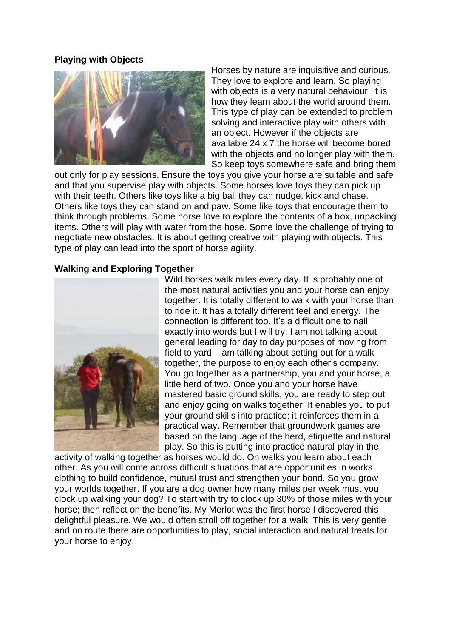#### **Playing with Objects**



Horses by nature are inquisitive and curious. They love to explore and learn. So playing with objects is a very natural behaviour. It is how they learn about the world around them. This type of play can be extended to problem solving and interactive play with others with an object. However if the objects are available 24 x 7 the horse will become bored with the objects and no longer play with them. So keep toys somewhere safe and bring them

out only for play sessions. Ensure the toys you give your horse are suitable and safe and that you supervise play with objects. Some horses love toys they can pick up with their teeth. Others like toys like a big ball they can nudge, kick and chase. Others like toys they can stand on and paw. Some like toys that encourage them to think through problems. Some horse love to explore the contents of a box, unpacking items. Others will play with water from the hose. Some love the challenge of trying to negotiate new obstacles. It is about getting creative with playing with objects. This type of play can lead into the sport of horse agility.

#### **Walking and Exploring Together**



Wild horses walk miles every day. It is probably one of the most natural activities you and your horse can enjoy together. It is totally different to walk with your horse than to ride it. It has a totally different feel and energy. The connection is different too. It's a difficult one to nail exactly into words but I will try. I am not talking about general leading for day to day purposes of moving from field to yard. I am talking about setting out for a walk together, the purpose to enjoy each other's company. You go together as a partnership, you and your horse, a little herd of two. Once you and your horse have mastered basic ground skills, you are ready to step out and enjoy going on walks together. It enables you to put your ground skills into practice; it reinforces them in a practical way. Remember that groundwork games are based on the language of the herd, etiquette and natural play. So this is putting into practice natural play in the

activity of walking together as horses would do. On walks you learn about each other. As you will come across difficult situations that are opportunities in works clothing to build confidence, mutual trust and strengthen your bond. So you grow your worlds together. If you are a dog owner how many miles per week must you clock up walking your dog? To start with try to clock up 30% of those miles with your horse; then reflect on the benefits. My Merlot was the first horse I discovered this delightful pleasure. We would often stroll off together for a walk. This is very gentle and on route there are opportunities to play, social interaction and natural treats for your horse to enjoy.